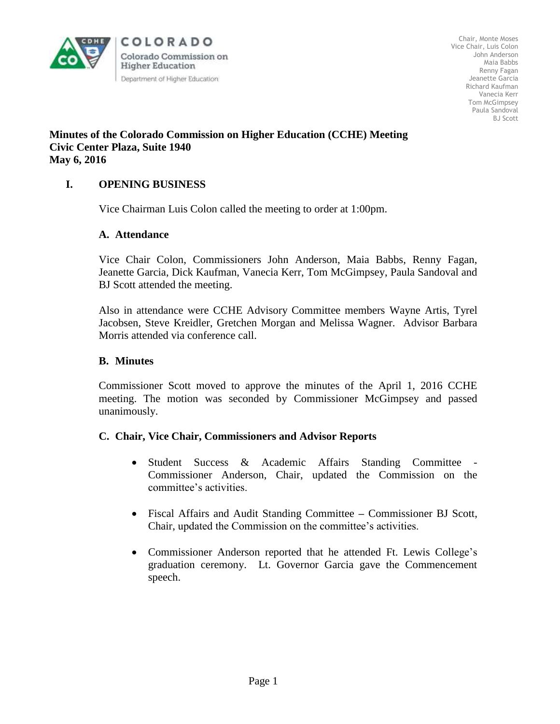

Chair, Monte Moses Vice Chair, Luis Colon John Anderson Maia Babbs Renny Fagan Jeanette Garcia Richard Kaufman Vanecia Kerr Tom McGimpsey Paula Sandoval BJ Scott

# **Minutes of the Colorado Commission on Higher Education (CCHE) Meeting Civic Center Plaza, Suite 1940 May 6, 2016**

# **I. OPENING BUSINESS**

Vice Chairman Luis Colon called the meeting to order at 1:00pm.

### **A. Attendance**

Vice Chair Colon, Commissioners John Anderson, Maia Babbs, Renny Fagan, Jeanette Garcia, Dick Kaufman, Vanecia Kerr, Tom McGimpsey, Paula Sandoval and BJ Scott attended the meeting.

Also in attendance were CCHE Advisory Committee members Wayne Artis, Tyrel Jacobsen, Steve Kreidler, Gretchen Morgan and Melissa Wagner. Advisor Barbara Morris attended via conference call.

### **B. Minutes**

Commissioner Scott moved to approve the minutes of the April 1, 2016 CCHE meeting. The motion was seconded by Commissioner McGimpsey and passed unanimously.

### **C. Chair, Vice Chair, Commissioners and Advisor Reports**

- Student Success & Academic Affairs Standing Committee Commissioner Anderson, Chair, updated the Commission on the committee's activities.
- Fiscal Affairs and Audit Standing Committee **–** Commissioner BJ Scott, Chair, updated the Commission on the committee's activities.
- Commissioner Anderson reported that he attended Ft. Lewis College's graduation ceremony. Lt. Governor Garcia gave the Commencement speech.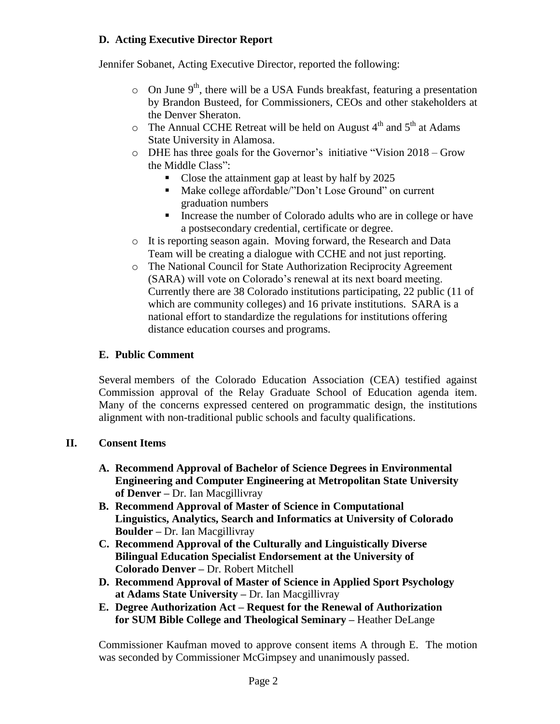# **D. Acting Executive Director Report**

Jennifer Sobanet, Acting Executive Director, reported the following:

- $\circ$  On June 9<sup>th</sup>, there will be a USA Funds breakfast, featuring a presentation by Brandon Busteed, for Commissioners, CEOs and other stakeholders at the Denver Sheraton.
- $\degree$  The Annual CCHE Retreat will be held on August 4<sup>th</sup> and 5<sup>th</sup> at Adams State University in Alamosa.
- o DHE has three goals for the Governor's initiative "Vision 2018 Grow the Middle Class":
	- Close the attainment gap at least by half by 2025
	- Make college affordable/"Don't Lose Ground" on current graduation numbers
	- Increase the number of Colorado adults who are in college or have a postsecondary credential, certificate or degree.
- o It is reporting season again. Moving forward, the Research and Data Team will be creating a dialogue with CCHE and not just reporting.
- o The National Council for State Authorization Reciprocity Agreement (SARA) will vote on Colorado's renewal at its next board meeting. Currently there are 38 Colorado institutions participating, 22 public (11 of which are community colleges) and 16 private institutions. SARA is a national effort to standardize the regulations for institutions offering distance education courses and programs.

# **E. Public Comment**

Several members of the Colorado Education Association (CEA) testified against Commission approval of the Relay Graduate School of Education agenda item. Many of the concerns expressed centered on programmatic design, the institutions alignment with non-traditional public schools and faculty qualifications.

# **II. Consent Items**

- **A. Recommend Approval of Bachelor of Science Degrees in Environmental Engineering and Computer Engineering at Metropolitan State University of Denver –** Dr. Ian Macgillivray
- **B. Recommend Approval of Master of Science in Computational Linguistics, Analytics, Search and Informatics at University of Colorado Boulder –** Dr. Ian Macgillivray
- **C. Recommend Approval of the Culturally and Linguistically Diverse Bilingual Education Specialist Endorsement at the University of Colorado Denver –** Dr. Robert Mitchell
- **D. Recommend Approval of Master of Science in Applied Sport Psychology at Adams State University –** Dr. Ian Macgillivray
- **E. Degree Authorization Act – Request for the Renewal of Authorization for SUM Bible College and Theological Seminary –** Heather DeLange

 Commissioner Kaufman moved to approve consent items A through E. The motion was seconded by Commissioner McGimpsey and unanimously passed.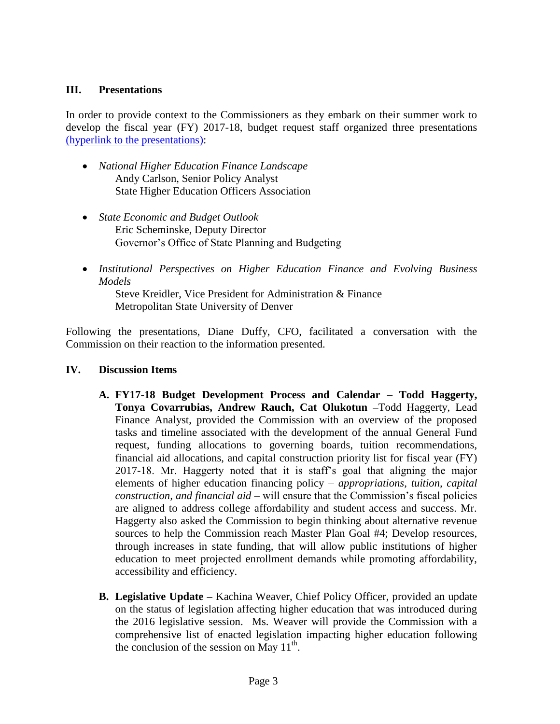## **III. Presentations**

In order to provide context to the Commissioners as they embark on their summer work to develop the fiscal year (FY) 2017-18, budget request staff organized three presentations [\(hyperlink to the presentations\):](http://highered.colorado.gov/CCHE/Meetings/2016/may/May0616_Material.html)

- *National Higher Education Finance Landscape* Andy Carlson, Senior Policy Analyst State Higher Education Officers Association
- *State Economic and Budget Outlook* Eric Scheminske, Deputy Director Governor's Office of State Planning and Budgeting
- *Institutional Perspectives on Higher Education Finance and Evolving Business Models*

Steve Kreidler, Vice President for Administration & Finance Metropolitan State University of Denver

Following the presentations, Diane Duffy, CFO, facilitated a conversation with the Commission on their reaction to the information presented.

### **IV. Discussion Items**

- **A. FY17-18 Budget Development Process and Calendar – Todd Haggerty, Tonya Covarrubias, Andrew Rauch, Cat Olukotun –**Todd Haggerty, Lead Finance Analyst, provided the Commission with an overview of the proposed tasks and timeline associated with the development of the annual General Fund request, funding allocations to governing boards, tuition recommendations, financial aid allocations, and capital construction priority list for fiscal year (FY) 2017-18. Mr. Haggerty noted that it is staff's goal that aligning the major elements of higher education financing policy – *appropriations, tuition, capital construction, and financial aid* – will ensure that the Commission's fiscal policies are aligned to address college affordability and student access and success. Mr. Haggerty also asked the Commission to begin thinking about alternative revenue sources to help the Commission reach Master Plan Goal #4; Develop resources, through increases in state funding, that will allow public institutions of higher education to meet projected enrollment demands while promoting affordability, accessibility and efficiency.
- **B. Legislative Update –** Kachina Weaver, Chief Policy Officer, provided an update on the status of legislation affecting higher education that was introduced during the 2016 legislative session. Ms. Weaver will provide the Commission with a comprehensive list of enacted legislation impacting higher education following the conclusion of the session on May  $11^{th}$ .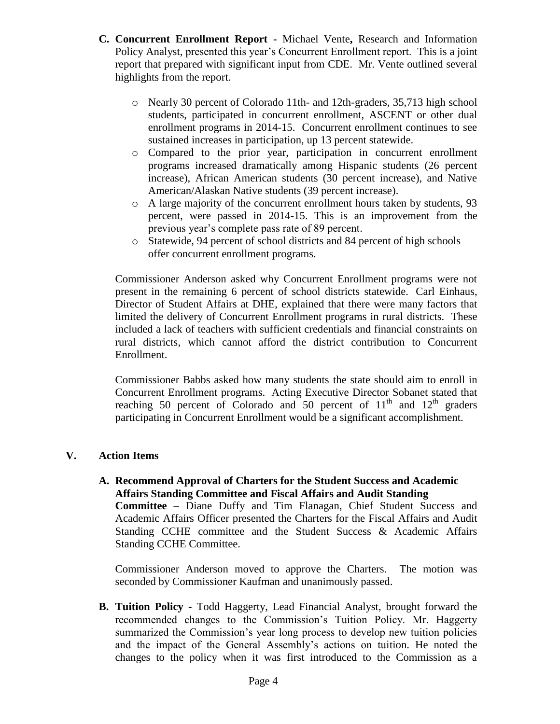- **C. Concurrent Enrollment Report -** Michael Vente**,** Research and Information Policy Analyst, presented this year's Concurrent Enrollment report. This is a joint report that prepared with significant input from CDE. Mr. Vente outlined several highlights from the report.
	- o Nearly 30 percent of Colorado 11th- and 12th-graders, 35,713 high school students, participated in concurrent enrollment, ASCENT or other dual enrollment programs in 2014-15. Concurrent enrollment continues to see sustained increases in participation, up 13 percent statewide.
	- o Compared to the prior year, participation in concurrent enrollment programs increased dramatically among Hispanic students (26 percent increase), African American students (30 percent increase), and Native American/Alaskan Native students (39 percent increase).
	- $\circ$  A large majority of the concurrent enrollment hours taken by students, 93 percent, were passed in 2014-15. This is an improvement from the previous year's complete pass rate of 89 percent.
	- o Statewide, 94 percent of school districts and 84 percent of high schools offer concurrent enrollment programs.

Commissioner Anderson asked why Concurrent Enrollment programs were not present in the remaining 6 percent of school districts statewide. Carl Einhaus, Director of Student Affairs at DHE, explained that there were many factors that limited the delivery of Concurrent Enrollment programs in rural districts. These included a lack of teachers with sufficient credentials and financial constraints on rural districts, which cannot afford the district contribution to Concurrent Enrollment.

Commissioner Babbs asked how many students the state should aim to enroll in Concurrent Enrollment programs. Acting Executive Director Sobanet stated that reaching 50 percent of Colorado and 50 percent of  $11<sup>th</sup>$  and  $12<sup>th</sup>$  graders participating in Concurrent Enrollment would be a significant accomplishment.

# **V. Action Items**

**A. Recommend Approval of Charters for the Student Success and Academic Affairs Standing Committee and Fiscal Affairs and Audit Standing Committee** – Diane Duffy and Tim Flanagan, Chief Student Success and Academic Affairs Officer presented the Charters for the Fiscal Affairs and Audit Standing CCHE committee and the Student Success & Academic Affairs Standing CCHE Committee.

Commissioner Anderson moved to approve the Charters. The motion was seconded by Commissioner Kaufman and unanimously passed.

**B. Tuition Policy -** Todd Haggerty, Lead Financial Analyst, brought forward the recommended changes to the Commission's Tuition Policy. Mr. Haggerty summarized the Commission's year long process to develop new tuition policies and the impact of the General Assembly's actions on tuition. He noted the changes to the policy when it was first introduced to the Commission as a